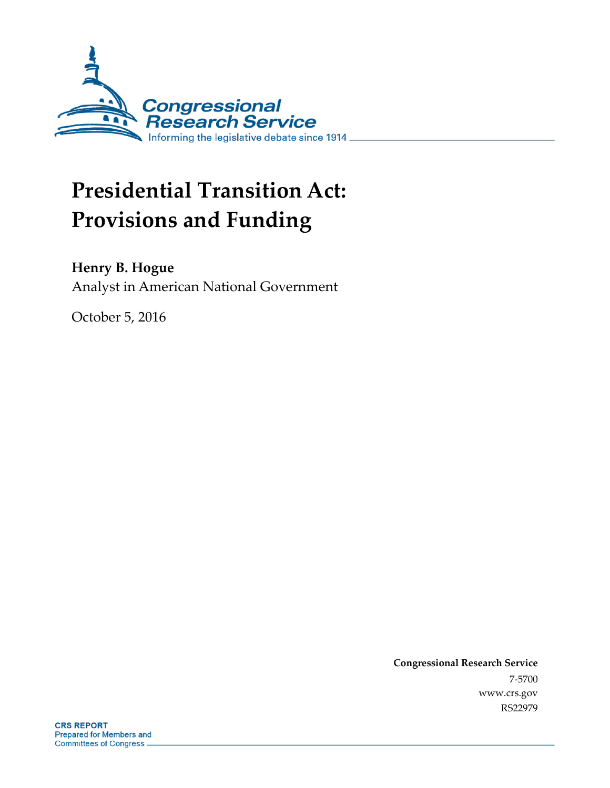

# **Presidential Transition Act: Provisions and Funding**

### **Henry B. Hogue**

Analyst in American National Government

October 5, 2016

**Congressional Research Service** 7-5700 www.crs.gov RS22979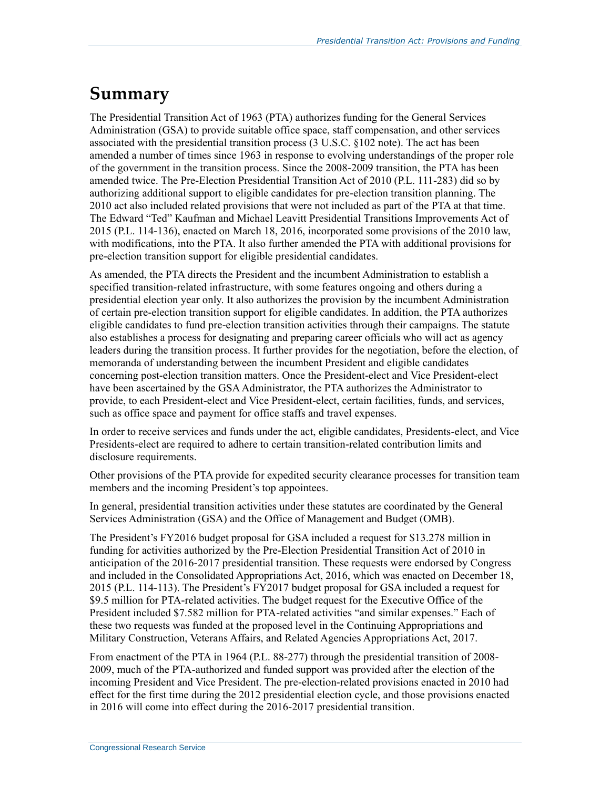## **Summary**

The Presidential Transition Act of 1963 (PTA) authorizes funding for the General Services Administration (GSA) to provide suitable office space, staff compensation, and other services associated with the presidential transition process (3 U.S.C. §102 note). The act has been amended a number of times since 1963 in response to evolving understandings of the proper role of the government in the transition process. Since the 2008-2009 transition, the PTA has been amended twice. The Pre-Election Presidential Transition Act of 2010 (P.L. 111-283) did so by authorizing additional support to eligible candidates for pre-election transition planning. The 2010 act also included related provisions that were not included as part of the PTA at that time. The Edward "Ted" Kaufman and Michael Leavitt Presidential Transitions Improvements Act of 2015 (P.L. 114-136), enacted on March 18, 2016, incorporated some provisions of the 2010 law, with modifications, into the PTA. It also further amended the PTA with additional provisions for pre-election transition support for eligible presidential candidates.

As amended, the PTA directs the President and the incumbent Administration to establish a specified transition-related infrastructure, with some features ongoing and others during a presidential election year only. It also authorizes the provision by the incumbent Administration of certain pre-election transition support for eligible candidates. In addition, the PTA authorizes eligible candidates to fund pre-election transition activities through their campaigns. The statute also establishes a process for designating and preparing career officials who will act as agency leaders during the transition process. It further provides for the negotiation, before the election, of memoranda of understanding between the incumbent President and eligible candidates concerning post-election transition matters. Once the President-elect and Vice President-elect have been ascertained by the GSA Administrator, the PTA authorizes the Administrator to provide, to each President-elect and Vice President-elect, certain facilities, funds, and services, such as office space and payment for office staffs and travel expenses.

In order to receive services and funds under the act, eligible candidates, Presidents-elect, and Vice Presidents-elect are required to adhere to certain transition-related contribution limits and disclosure requirements.

Other provisions of the PTA provide for expedited security clearance processes for transition team members and the incoming President's top appointees.

In general, presidential transition activities under these statutes are coordinated by the General Services Administration (GSA) and the Office of Management and Budget (OMB).

The President's FY2016 budget proposal for GSA included a request for \$13.278 million in funding for activities authorized by the Pre-Election Presidential Transition Act of 2010 in anticipation of the 2016-2017 presidential transition. These requests were endorsed by Congress and included in the Consolidated Appropriations Act, 2016, which was enacted on December 18, 2015 (P.L. 114-113). The President's FY2017 budget proposal for GSA included a request for \$9.5 million for PTA-related activities. The budget request for the Executive Office of the President included \$7.582 million for PTA-related activities "and similar expenses." Each of these two requests was funded at the proposed level in the Continuing Appropriations and Military Construction, Veterans Affairs, and Related Agencies Appropriations Act, 2017.

From enactment of the PTA in 1964 (P.L. 88-277) through the presidential transition of 2008- 2009, much of the PTA-authorized and funded support was provided after the election of the incoming President and Vice President. The pre-election-related provisions enacted in 2010 had effect for the first time during the 2012 presidential election cycle, and those provisions enacted in 2016 will come into effect during the 2016-2017 presidential transition.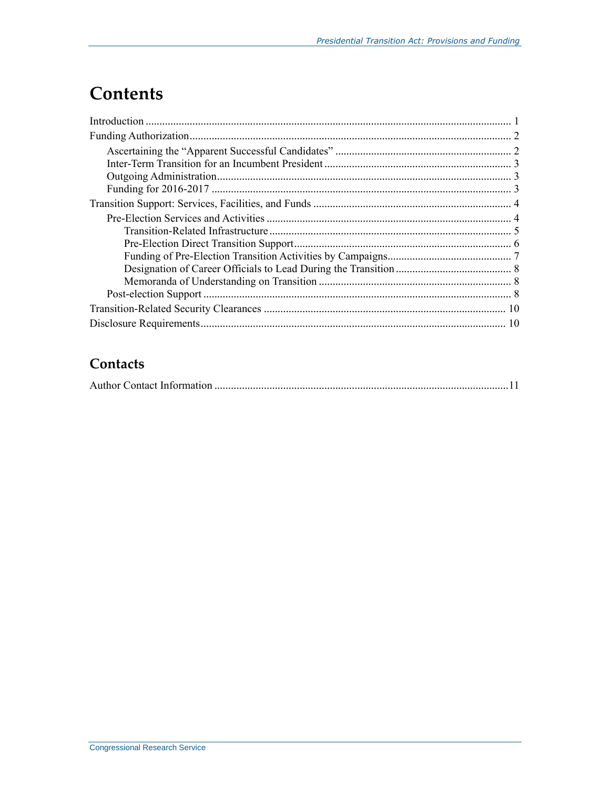## **Contents**

### Contacts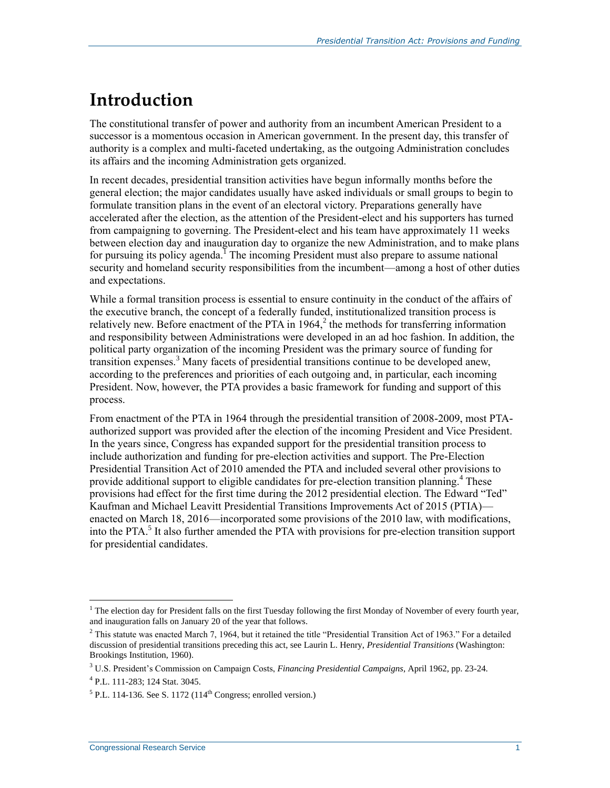## **Introduction**

The constitutional transfer of power and authority from an incumbent American President to a successor is a momentous occasion in American government. In the present day, this transfer of authority is a complex and multi-faceted undertaking, as the outgoing Administration concludes its affairs and the incoming Administration gets organized.

In recent decades, presidential transition activities have begun informally months before the general election; the major candidates usually have asked individuals or small groups to begin to formulate transition plans in the event of an electoral victory. Preparations generally have accelerated after the election, as the attention of the President-elect and his supporters has turned from campaigning to governing. The President-elect and his team have approximately 11 weeks between election day and inauguration day to organize the new Administration, and to make plans for pursuing its policy agenda.<sup>I</sup> The incoming President must also prepare to assume national security and homeland security responsibilities from the incumbent—among a host of other duties and expectations.

While a formal transition process is essential to ensure continuity in the conduct of the affairs of the executive branch, the concept of a federally funded, institutionalized transition process is relatively new. Before enactment of the PTA in  $1964$ ,<sup>2</sup> the methods for transferring information and responsibility between Administrations were developed in an ad hoc fashion. In addition, the political party organization of the incoming President was the primary source of funding for transition expenses.<sup>3</sup> Many facets of presidential transitions continue to be developed anew, according to the preferences and priorities of each outgoing and, in particular, each incoming President. Now, however, the PTA provides a basic framework for funding and support of this process.

From enactment of the PTA in 1964 through the presidential transition of 2008-2009, most PTAauthorized support was provided after the election of the incoming President and Vice President. In the years since, Congress has expanded support for the presidential transition process to include authorization and funding for pre-election activities and support. The Pre-Election Presidential Transition Act of 2010 amended the PTA and included several other provisions to provide additional support to eligible candidates for pre-election transition planning.<sup>4</sup> These provisions had effect for the first time during the 2012 presidential election. The Edward "Ted" Kaufman and Michael Leavitt Presidential Transitions Improvements Act of 2015 (PTIA) enacted on March 18, 2016—incorporated some provisions of the 2010 law, with modifications, into the PTA.<sup>5</sup> It also further amended the PTA with provisions for pre-election transition support for presidential candidates.

 $\overline{a}$  $<sup>1</sup>$  The election day for President falls on the first Tuesday following the first Monday of November of every fourth year,</sup> and inauguration falls on January 20 of the year that follows.

 $2$  This statute was enacted March 7, 1964, but it retained the title "Presidential Transition Act of 1963." For a detailed discussion of presidential transitions preceding this act, see Laurin L. Henry, *Presidential Transitions* (Washington: Brookings Institution, 1960).

<sup>3</sup> U.S. President's Commission on Campaign Costs, *Financing Presidential Campaigns*, April 1962, pp. 23-24.

<sup>4</sup> P.L. 111-283; 124 Stat. 3045.

 $<sup>5</sup>$  P.L. 114-136. See S. 1172 (114<sup>th</sup> Congress; enrolled version.)</sup>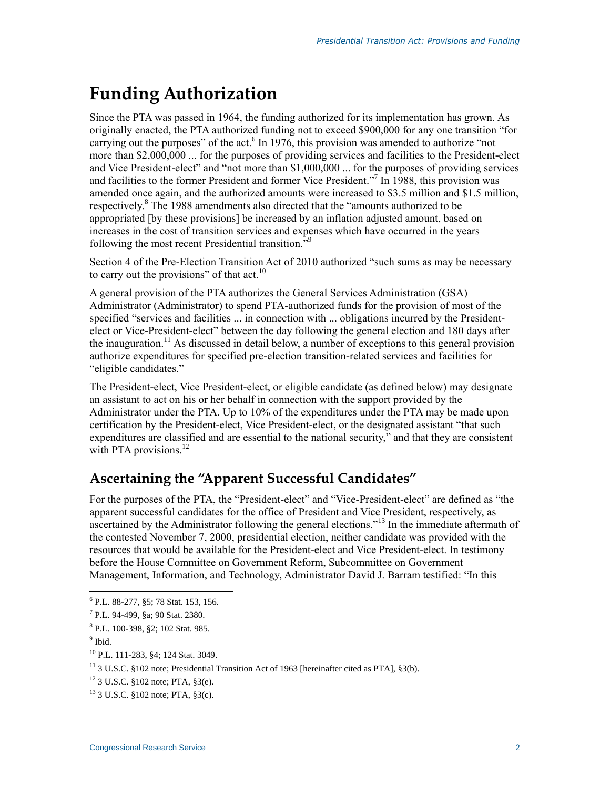## <span id="page-4-0"></span>**Funding Authorization**

Since the PTA was passed in 1964, the funding authorized for its implementation has grown. As originally enacted, the PTA authorized funding not to exceed \$900,000 for any one transition "for carrying out the purposes" of the act.<sup>6</sup> In 1976, this provision was amended to authorize "not more than \$2,000,000 ... for the purposes of providing services and facilities to the President-elect and Vice President-elect" and "not more than \$1,000,000 ... for the purposes of providing services and facilities to the former President and former Vice President."<sup>7</sup> In 1988, this provision was amended once again, and the authorized amounts were increased to \$3.5 million and \$1.5 million, respectively.<sup>8</sup> The 1988 amendments also directed that the "amounts authorized to be appropriated [by these provisions] be increased by an inflation adjusted amount, based on increases in the cost of transition services and expenses which have occurred in the years following the most recent Presidential transition.<sup>59</sup>

Section 4 of the Pre-Election Transition Act of 2010 authorized "such sums as may be necessary to carry out the provisions" of that  $\arct{a}^{10}$ 

A general provision of the PTA authorizes the General Services Administration (GSA) Administrator (Administrator) to spend PTA-authorized funds for the provision of most of the specified "services and facilities ... in connection with ... obligations incurred by the Presidentelect or Vice-President-elect" between the day following the general election and 180 days after the inauguration.<sup>11</sup> As discussed in detail below, a number of exceptions to this general provision authorize expenditures for specified pre-election transition-related services and facilities for "eligible candidates."

The President-elect, Vice President-elect, or eligible candidate (as defined below) may designate an assistant to act on his or her behalf in connection with the support provided by the Administrator under the PTA. Up to 10% of the expenditures under the PTA may be made upon certification by the President-elect, Vice President-elect, or the designated assistant "that such expenditures are classified and are essential to the national security," and that they are consistent with PTA provisions. $^{12}$ 

### **Ascertaining the "Apparent Successful Candidates"**

For the purposes of the PTA, the "President-elect" and "Vice-President-elect" are defined as "the apparent successful candidates for the office of President and Vice President, respectively, as ascertained by the Administrator following the general elections."<sup>13</sup> In the immediate aftermath of the contested November 7, 2000, presidential election, neither candidate was provided with the resources that would be available for the President-elect and Vice President-elect. In testimony before the House Committee on Government Reform, Subcommittee on Government Management, Information, and Technology, Administrator David J. Barram testified: "In this

 $\overline{a}$ 6 P.L. 88-277, §5; 78 Stat. 153, 156.

<sup>7</sup> P.L. 94-499, §a; 90 Stat. 2380.

<sup>8</sup> P.L. 100-398, §2; 102 Stat. 985.

<sup>&</sup>lt;sup>9</sup> Ibid.

<sup>10</sup> P.L. 111-283, §4; 124 Stat. 3049.

<sup>&</sup>lt;sup>11</sup> 3 U.S.C. §102 note; Presidential Transition Act of 1963 [hereinafter cited as PTA], §3(b).

<sup>12</sup> 3 U.S.C. §102 note; PTA, §3(e).

<sup>13</sup> 3 U.S.C. §102 note; PTA, §3(c).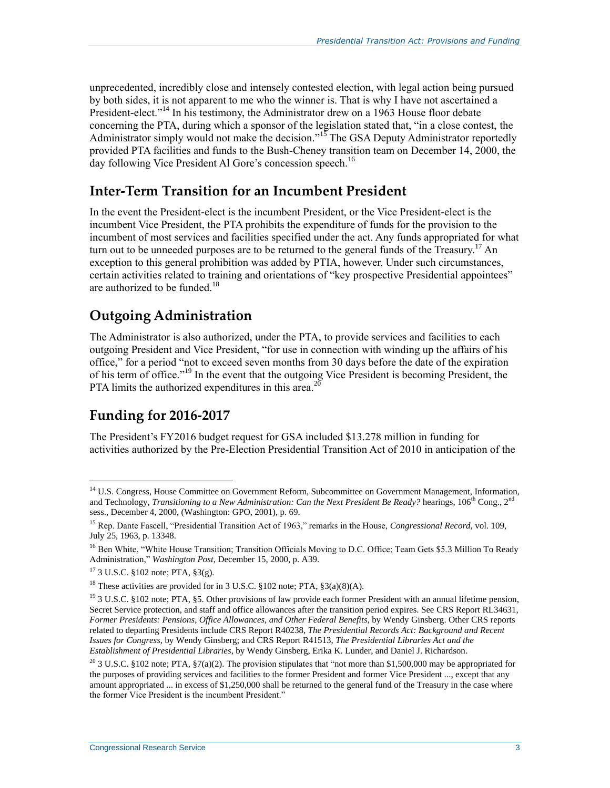unprecedented, incredibly close and intensely contested election, with legal action being pursued by both sides, it is not apparent to me who the winner is. That is why I have not ascertained a President-elect."<sup>14</sup> In his testimony, the Administrator drew on a 1963 House floor debate concerning the PTA, during which a sponsor of the legislation stated that, "in a close contest, the Administrator simply would not make the decision."<sup>15</sup> The GSA Deputy Administrator reportedly provided PTA facilities and funds to the Bush-Cheney transition team on December 14, 2000, the day following Vice President Al Gore's concession speech.<sup>16</sup>

#### **Inter-Term Transition for an Incumbent President**

In the event the President-elect is the incumbent President, or the Vice President-elect is the incumbent Vice President, the PTA prohibits the expenditure of funds for the provision to the incumbent of most services and facilities specified under the act. Any funds appropriated for what turn out to be unneeded purposes are to be returned to the general funds of the Treasury.<sup>17</sup> An exception to this general prohibition was added by PTIA, however. Under such circumstances, certain activities related to training and orientations of "key prospective Presidential appointees" are authorized to be funded.<sup>18</sup>

#### **Outgoing Administration**

The Administrator is also authorized, under the PTA, to provide services and facilities to each outgoing President and Vice President, "for use in connection with winding up the affairs of his office," for a period "not to exceed seven months from 30 days before the date of the expiration of his term of office."<sup>19</sup> In the event that the outgoing Vice President is becoming President, the PTA limits the authorized expenditures in this area.<sup>20</sup>

### **Funding for 2016-2017**

The President's FY2016 budget request for GSA included \$13.278 million in funding for activities authorized by the Pre-Election Presidential Transition Act of 2010 in anticipation of the

 $\overline{a}$ <sup>14</sup> U.S. Congress, House Committee on Government Reform, Subcommittee on Government Management, Information, and Technology, *Transitioning to a New Administration: Can the Next President Be Ready?* hearings, 106<sup>th</sup> Cong., 2<sup>nd</sup> sess., December 4, 2000, (Washington: GPO, 2001), p. 69.

<sup>15</sup> Rep. Dante Fascell, "Presidential Transition Act of 1963," remarks in the House, *Congressional Record,* vol. 109, July 25, 1963, p. 13348.

<sup>&</sup>lt;sup>16</sup> Ben White, "White House Transition: Transition Officials Moving to D.C. Office: Team Gets \$5.3 Million To Ready Administration," *Washington Post*, December 15, 2000, p. A39.

 $17$  3 U.S.C. §102 note; PTA, §3(g).

<sup>&</sup>lt;sup>18</sup> These activities are provided for in 3 U.S.C. §102 note; PTA, §3(a)(8)(A).

<sup>&</sup>lt;sup>19</sup> 3 U.S.C. §102 note; PTA, §5. Other provisions of law provide each former President with an annual lifetime pension, Secret Service protection, and staff and office allowances after the transition period expires. See CRS Report RL34631, *Former Presidents: Pensions, Office Allowances, and Other Federal Benefits*, by Wendy Ginsberg. Other CRS reports related to departing Presidents include CRS Report R40238, *The Presidential Records Act: Background and Recent Issues for Congress*, by Wendy Ginsberg; and CRS Report R41513, *The Presidential Libraries Act and the Establishment of Presidential Libraries*, by Wendy Ginsberg, Erika K. Lunder, and Daniel J. Richardson.

<sup>&</sup>lt;sup>20</sup> 3 U.S.C. §102 note; PTA, §7(a)(2). The provision stipulates that "not more than \$1,500,000 may be appropriated for the purposes of providing services and facilities to the former President and former Vice President ..., except that any amount appropriated ... in excess of \$1,250,000 shall be returned to the general fund of the Treasury in the case where the former Vice President is the incumbent President."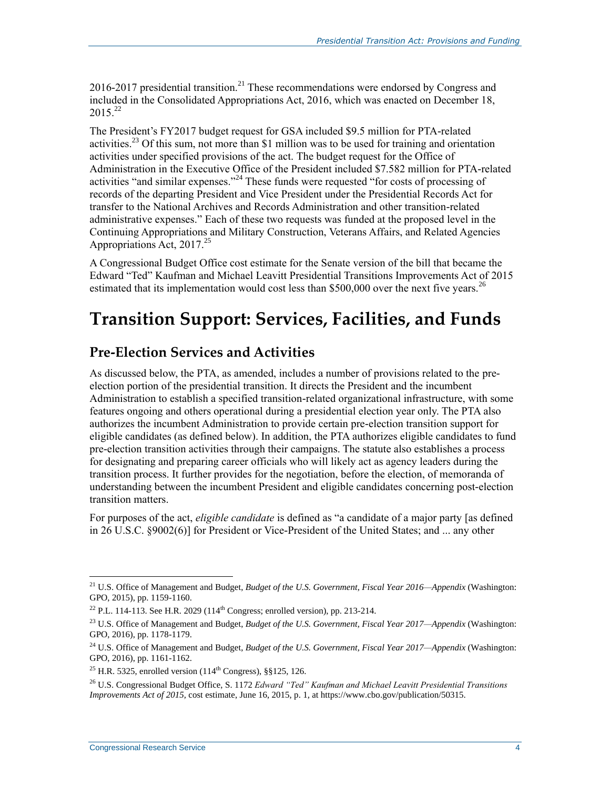2016-2017 presidential transition.<sup>21</sup> These recommendations were endorsed by Congress and included in the Consolidated Appropriations Act, 2016, which was enacted on December 18,  $2015^{22}$ 

The President's FY2017 budget request for GSA included \$9.5 million for PTA-related activities.<sup>23</sup> Of this sum, not more than \$1 million was to be used for training and orientation activities under specified provisions of the act. The budget request for the Office of Administration in the Executive Office of the President included \$7.582 million for PTA-related activities "and similar expenses."<sup>24</sup> These funds were requested "for costs of processing of records of the departing President and Vice President under the Presidential Records Act for transfer to the National Archives and Records Administration and other transition-related administrative expenses." Each of these two requests was funded at the proposed level in the Continuing Appropriations and Military Construction, Veterans Affairs, and Related Agencies Appropriations Act, 2017.<sup>25</sup>

A Congressional Budget Office cost estimate for the Senate version of the bill that became the Edward "Ted" Kaufman and Michael Leavitt Presidential Transitions Improvements Act of 2015 estimated that its implementation would cost less than \$500,000 over the next five years.<sup>26</sup>

### **Transition Support: Services, Facilities, and Funds**

### **Pre-Election Services and Activities**

As discussed below, the PTA, as amended, includes a number of provisions related to the preelection portion of the presidential transition. It directs the President and the incumbent Administration to establish a specified transition-related organizational infrastructure, with some features ongoing and others operational during a presidential election year only. The PTA also authorizes the incumbent Administration to provide certain pre-election transition support for eligible candidates (as defined below). In addition, the PTA authorizes eligible candidates to fund pre-election transition activities through their campaigns. The statute also establishes a process for designating and preparing career officials who will likely act as agency leaders during the transition process. It further provides for the negotiation, before the election, of memoranda of understanding between the incumbent President and eligible candidates concerning post-election transition matters.

For purposes of the act, *eligible candidate* is defined as "a candidate of a major party [as defined in 26 U.S.C. §9002(6)] for President or Vice-President of the United States; and ... any other

<sup>21</sup> U.S. Office of Management and Budget, *Budget of the U.S. Government, Fiscal Year 2016—Appendix* (Washington: GPO, 2015), pp. 1159-1160.

<sup>&</sup>lt;sup>22</sup> P.L. 114-113. See H.R. 2029 (114<sup>th</sup> Congress; enrolled version), pp. 213-214.

<sup>23</sup> U.S. Office of Management and Budget, *Budget of the U.S. Government, Fiscal Year 2017—Appendix* (Washington: GPO, 2016), pp. 1178-1179.

<sup>24</sup> U.S. Office of Management and Budget, *Budget of the U.S. Government, Fiscal Year 2017—Appendix* (Washington: GPO, 2016), pp. 1161-1162.

<sup>&</sup>lt;sup>25</sup> H.R. 5325, enrolled version  $(114^{th}$  Congress), §§125, 126.

<sup>26</sup> U.S. Congressional Budget Office, S. 1172 *Edward "Ted" Kaufman and Michael Leavitt Presidential Transitions Improvements Act of 2015,* cost estimate, June 16, 2015, p. 1*,* at https://www.cbo.gov/publication/50315.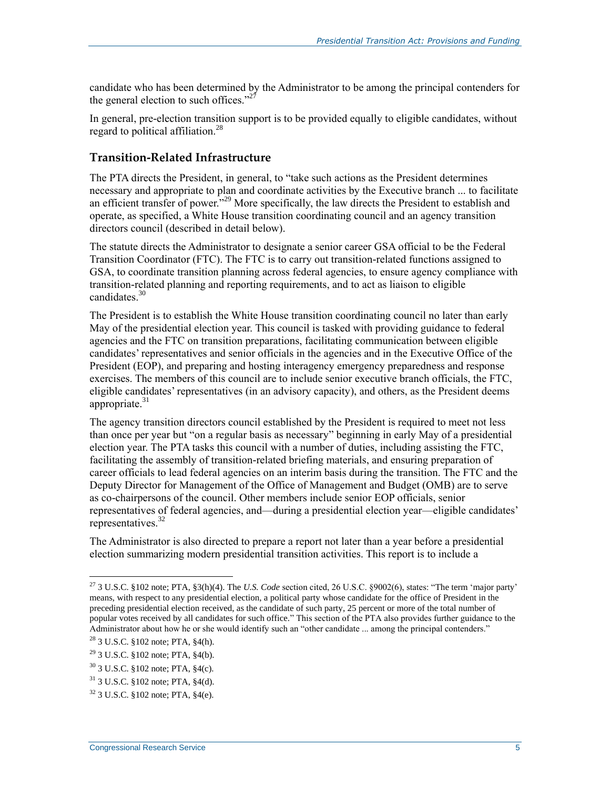candidate who has been determined by the Administrator to be among the principal contenders for the general election to such offices."<sup>27</sup>

In general, pre-election transition support is to be provided equally to eligible candidates, without regard to political affiliation.<sup>28</sup>

#### **Transition-Related Infrastructure**

The PTA directs the President, in general, to "take such actions as the President determines necessary and appropriate to plan and coordinate activities by the Executive branch ... to facilitate an efficient transfer of power."<sup>29</sup> More specifically, the law directs the President to establish and operate, as specified, a White House transition coordinating council and an agency transition directors council (described in detail below).

The statute directs the Administrator to designate a senior career GSA official to be the Federal Transition Coordinator (FTC). The FTC is to carry out transition-related functions assigned to GSA, to coordinate transition planning across federal agencies, to ensure agency compliance with transition-related planning and reporting requirements, and to act as liaison to eligible candidates.<sup>30</sup>

The President is to establish the White House transition coordinating council no later than early May of the presidential election year. This council is tasked with providing guidance to federal agencies and the FTC on transition preparations, facilitating communication between eligible candidates' representatives and senior officials in the agencies and in the Executive Office of the President (EOP), and preparing and hosting interagency emergency preparedness and response exercises. The members of this council are to include senior executive branch officials, the FTC, eligible candidates' representatives (in an advisory capacity), and others, as the President deems appropriate. $31$ 

The agency transition directors council established by the President is required to meet not less than once per year but "on a regular basis as necessary" beginning in early May of a presidential election year. The PTA tasks this council with a number of duties, including assisting the FTC, facilitating the assembly of transition-related briefing materials, and ensuring preparation of career officials to lead federal agencies on an interim basis during the transition. The FTC and the Deputy Director for Management of the Office of Management and Budget (OMB) are to serve as co-chairpersons of the council. Other members include senior EOP officials, senior representatives of federal agencies, and—during a presidential election year—eligible candidates' representatives.<sup>32</sup>

The Administrator is also directed to prepare a report not later than a year before a presidential election summarizing modern presidential transition activities. This report is to include a

<sup>27</sup> 3 U.S.C. §102 note; PTA, §3(h)(4). The *U.S. Code* section cited, 26 U.S.C. §9002(6), states: "The term 'major party' means, with respect to any presidential election, a political party whose candidate for the office of President in the preceding presidential election received, as the candidate of such party, 25 percent or more of the total number of popular votes received by all candidates for such office." This section of the PTA also provides further guidance to the Administrator about how he or she would identify such an "other candidate ... among the principal contenders."

 $28$  3 U.S.C. §102 note; PTA, §4(h).

 $^{29}$  3 U.S.C. §102 note; PTA, §4(b).

<sup>30</sup> 3 U.S.C. §102 note; PTA, §4(c).

 $31$  3 U.S.C. §102 note; PTA, §4(d).

<sup>32</sup> 3 U.S.C. §102 note; PTA, §4(e).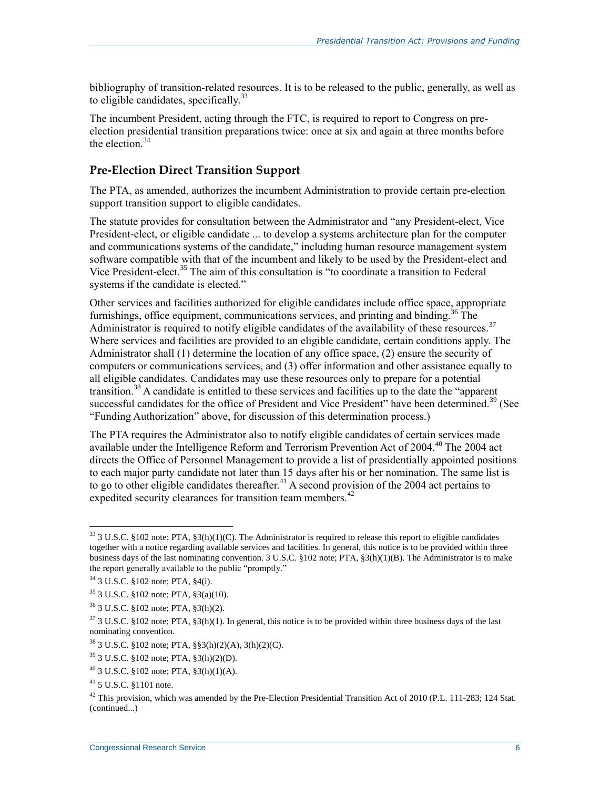bibliography of transition-related resources. It is to be released to the public, generally, as well as to eligible candidates, specifically. $33$ 

The incumbent President, acting through the FTC, is required to report to Congress on preelection presidential transition preparations twice: once at six and again at three months before the election. $34$ 

#### <span id="page-8-0"></span>**Pre-Election Direct Transition Support**

The PTA, as amended, authorizes the incumbent Administration to provide certain pre-election support transition support to eligible candidates.

The statute provides for consultation between the Administrator and "any President-elect, Vice President-elect, or eligible candidate ... to develop a systems architecture plan for the computer and communications systems of the candidate," including human resource management system software compatible with that of the incumbent and likely to be used by the President-elect and Vice President-elect.<sup>35</sup> The aim of this consultation is "to coordinate a transition to Federal systems if the candidate is elected."

Other services and facilities authorized for eligible candidates include office space, appropriate furnishings, office equipment, communications services, and printing and binding.<sup>36</sup> The Administrator is required to notify eligible candidates of the availability of these resources.<sup>37</sup> Where services and facilities are provided to an eligible candidate, certain conditions apply. The Administrator shall (1) determine the location of any office space, (2) ensure the security of computers or communications services, and (3) offer information and other assistance equally to all eligible candidates. Candidates may use these resources only to prepare for a potential transition.<sup>38</sup> A candidate is entitled to these services and facilities up to the date the "apparent successful candidates for the office of President and Vice President" have been determined.<sup>39</sup> (See ["Funding Authorization"](#page-4-0) above, for discussion of this determination process.)

The PTA requires the Administrator also to notify eligible candidates of certain services made available under the Intelligence Reform and Terrorism Prevention Act of 2004.<sup>40</sup> The 2004 act directs the Office of Personnel Management to provide a list of presidentially appointed positions to each major party candidate not later than 15 days after his or her nomination. The same list is to go to other eligible candidates thereafter.<sup>41</sup> A second provision of the 2004 act pertains to expedited security clearances for transition team members.<sup>42</sup>

 $33$  3 U.S.C. §102 note; PTA, §3(h)(1)(C). The Administrator is required to release this report to eligible candidates together with a notice regarding available services and facilities. In general, this notice is to be provided within three business days of the last nominating convention. 3 U.S.C. §102 note; PTA, §3(h)(1)(B). The Administrator is to make the report generally available to the public "promptly."

<sup>34</sup> 3 U.S.C. §102 note; PTA, §4(i).

 $35$  3 U.S.C. §102 note; PTA, §3(a)(10).

<sup>36</sup> 3 U.S.C. §102 note; PTA, §3(h)(2).

 $37$  3 U.S.C. §102 note; PTA, §3(h)(1). In general, this notice is to be provided within three business days of the last nominating convention.

<sup>38</sup> 3 U.S.C. §102 note; PTA, §§3(h)(2)(A), 3(h)(2)(C).

<sup>39</sup> 3 U.S.C. §102 note; PTA, §3(h)(2)(D).

 $^{40}$  3 U.S.C. §102 note; PTA, §3(h)(1)(A).

<sup>41</sup> 5 U.S.C. §1101 note.

<sup>&</sup>lt;sup>42</sup> This provision, which was amended by the Pre-Election Presidential Transition Act of 2010 (P.L. 111-283; 124 Stat. (continued...)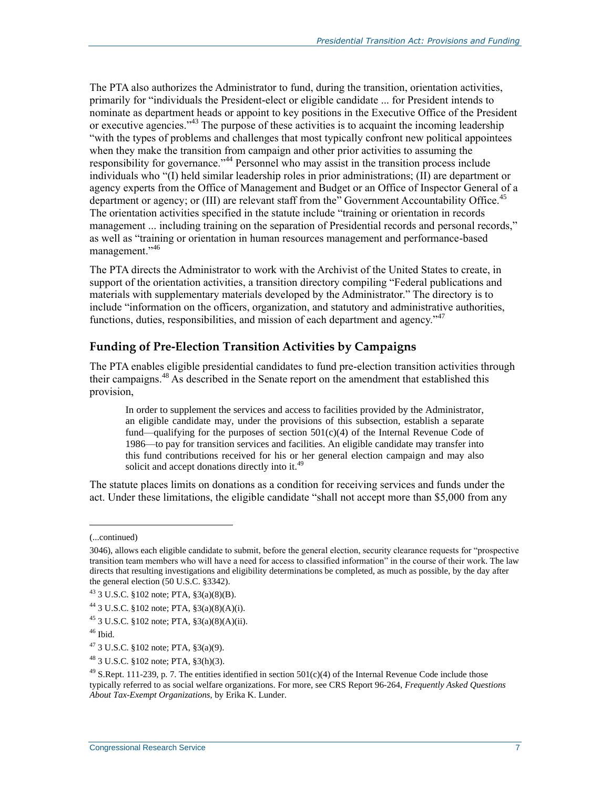The PTA also authorizes the Administrator to fund, during the transition, orientation activities, primarily for "individuals the President-elect or eligible candidate ... for President intends to nominate as department heads or appoint to key positions in the Executive Office of the President or executive agencies.<sup>343</sup> The purpose of these activities is to acquaint the incoming leadership "with the types of problems and challenges that most typically confront new political appointees when they make the transition from campaign and other prior activities to assuming the responsibility for governance."<sup>44</sup> Personnel who may assist in the transition process include individuals who "(I) held similar leadership roles in prior administrations; (II) are department or agency experts from the Office of Management and Budget or an Office of Inspector General of a department or agency; or  $(III)$  are relevant staff from the" Government Accountability Office.<sup>45</sup> The orientation activities specified in the statute include "training or orientation in records management ... including training on the separation of Presidential records and personal records," as well as "training or orientation in human resources management and performance-based management."<sup>46</sup>

The PTA directs the Administrator to work with the Archivist of the United States to create, in support of the orientation activities, a transition directory compiling "Federal publications and materials with supplementary materials developed by the Administrator." The directory is to include "information on the officers, organization, and statutory and administrative authorities, functions, duties, responsibilities, and mission of each department and agency."<sup>47</sup>

#### **Funding of Pre-Election Transition Activities by Campaigns**

The PTA enables eligible presidential candidates to fund pre-election transition activities through their campaigns.<sup>48</sup> As described in the Senate report on the amendment that established this provision,

In order to supplement the services and access to facilities provided by the Administrator, an eligible candidate may, under the provisions of this subsection, establish a separate fund—qualifying for the purposes of section  $501(c)(4)$  of the Internal Revenue Code of 1986—to pay for transition services and facilities. An eligible candidate may transfer into this fund contributions received for his or her general election campaign and may also solicit and accept donations directly into it.<sup>49</sup>

The statute places limits on donations as a condition for receiving services and funds under the act. Under these limitations, the eligible candidate "shall not accept more than \$5,000 from any

l

 $^{48}$  3 U.S.C. §102 note; PTA, §3(h)(3).

<sup>(...</sup>continued)

<sup>3046),</sup> allows each eligible candidate to submit, before the general election, security clearance requests for "prospective transition team members who will have a need for access to classified information" in the course of their work. The law directs that resulting investigations and eligibility determinations be completed, as much as possible, by the day after the general election (50 U.S.C. §3342).

 $^{43}$  3 U.S.C. §102 note; PTA, §3(a)(8)(B).

<sup>&</sup>lt;sup>44</sup> 3 U.S.C. §102 note; PTA, §3(a)(8)(A)(i).

 $^{45}$  3 U.S.C. §102 note; PTA, §3(a)(8)(A)(ii).

 $46$  Ibid.

<sup>47</sup> 3 U.S.C. §102 note; PTA, §3(a)(9).

 $49$  S.Rept. 111-239, p. 7. The entities identified in section  $501(c)(4)$  of the Internal Revenue Code include those typically referred to as social welfare organizations. For more, see CRS Report 96-264, *Frequently Asked Questions About Tax-Exempt Organizations*, by Erika K. Lunder.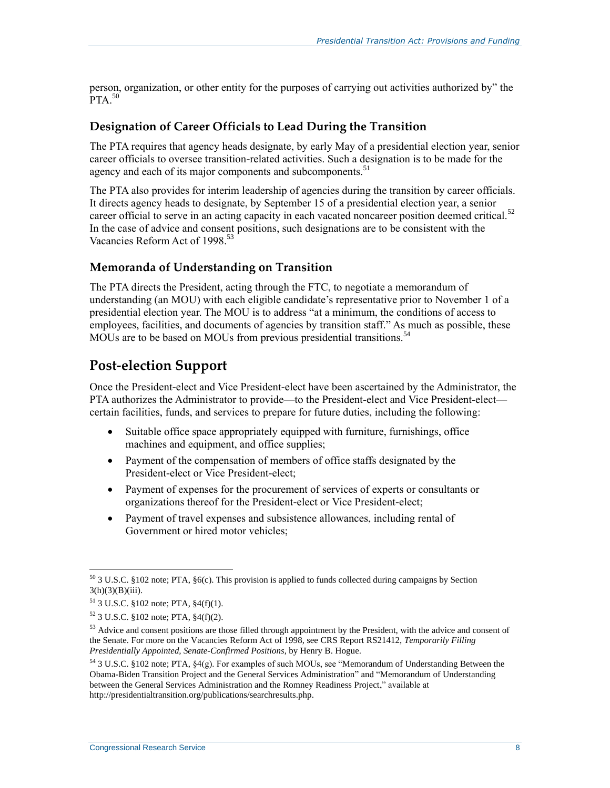person, organization, or other entity for the purposes of carrying out activities authorized by" the  $PTA$ <sup>50</sup>

#### **Designation of Career Officials to Lead During the Transition**

The PTA requires that agency heads designate, by early May of a presidential election year, senior career officials to oversee transition-related activities. Such a designation is to be made for the agency and each of its major components and subcomponents.<sup>51</sup>

The PTA also provides for interim leadership of agencies during the transition by career officials. It directs agency heads to designate, by September 15 of a presidential election year, a senior career official to serve in an acting capacity in each vacated noncareer position deemed critical.<sup>52</sup> In the case of advice and consent positions, such designations are to be consistent with the Vacancies Reform Act of 1998.<sup>53</sup>

#### **Memoranda of Understanding on Transition**

The PTA directs the President, acting through the FTC, to negotiate a memorandum of understanding (an MOU) with each eligible candidate's representative prior to November 1 of a presidential election year. The MOU is to address "at a minimum, the conditions of access to employees, facilities, and documents of agencies by transition staff." As much as possible, these MOUs are to be based on MOUs from previous presidential transitions.<sup>54</sup>

### **Post-election Support**

Once the President-elect and Vice President-elect have been ascertained by the Administrator, the PTA authorizes the Administrator to provide—to the President-elect and Vice President-elect certain facilities, funds, and services to prepare for future duties, including the following:

- Suitable office space appropriately equipped with furniture, furnishings, office machines and equipment, and office supplies;
- Payment of the compensation of members of office staffs designated by the President-elect or Vice President-elect;
- Payment of expenses for the procurement of services of experts or consultants or organizations thereof for the President-elect or Vice President-elect;
- Payment of travel expenses and subsistence allowances, including rental of Government or hired motor vehicles;

 $\overline{a}$  $50$  3 U.S.C. §102 note; PTA, §6(c). This provision is applied to funds collected during campaigns by Section  $3(h)(3)(B)(iii)$ .

<sup>51</sup> 3 U.S.C. §102 note; PTA, §4(f)(1).

 $52$  3 U.S.C. §102 note; PTA, §4(f)(2).

<sup>&</sup>lt;sup>53</sup> Advice and consent positions are those filled through appointment by the President, with the advice and consent of the Senate. For more on the Vacancies Reform Act of 1998, see CRS Report RS21412, *Temporarily Filling Presidentially Appointed, Senate-Confirmed Positions*, by Henry B. Hogue.

 $54$  3 U.S.C. §102 note; PTA, §4(g). For examples of such MOUs, see "Memorandum of Understanding Between the Obama-Biden Transition Project and the General Services Administration" and "Memorandum of Understanding between the General Services Administration and the Romney Readiness Project," available at http://presidentialtransition.org/publications/searchresults.php.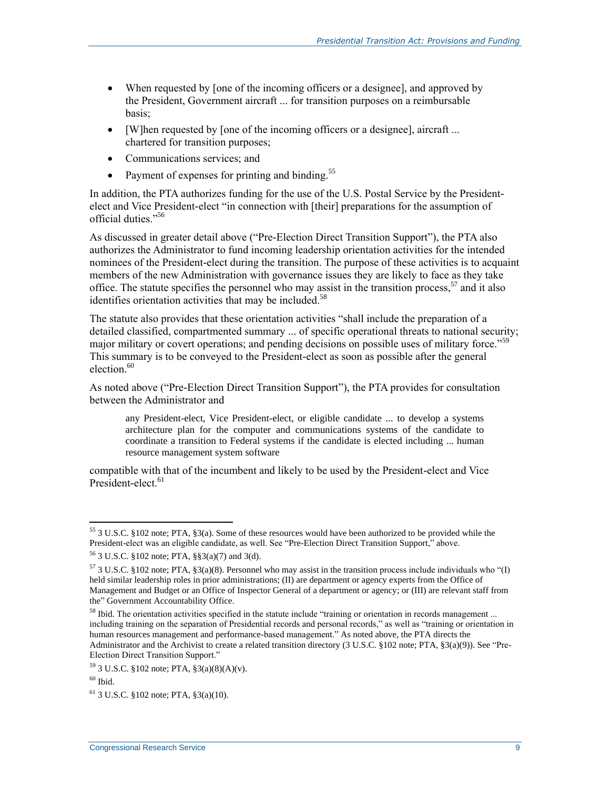- When requested by [one of the incoming officers or a designee], and approved by the President, Government aircraft ... for transition purposes on a reimbursable basis;
- [W]hen requested by [one of the incoming officers or a designee], aircraft ... chartered for transition purposes;
- Communications services; and
- Payment of expenses for printing and binding. $55$

In addition, the PTA authorizes funding for the use of the U.S. Postal Service by the Presidentelect and Vice President-elect "in connection with [their] preparations for the assumption of official duties." 56

As discussed in greater detail above (["Pre-Election Direct Transition Support"](#page-8-0)), the PTA also authorizes the Administrator to fund incoming leadership orientation activities for the intended nominees of the President-elect during the transition. The purpose of these activities is to acquaint members of the new Administration with governance issues they are likely to face as they take office. The statute specifies the personnel who may assist in the transition process,<sup>57</sup> and it also identifies orientation activities that may be included.<sup>58</sup>

The statute also provides that these orientation activities "shall include the preparation of a detailed classified, compartmented summary ... of specific operational threats to national security; major military or covert operations; and pending decisions on possible uses of military force."<sup>59</sup> This summary is to be conveyed to the President-elect as soon as possible after the general election. $60$ 

As noted above ("Pre-Election Direct Transition Support"), the PTA provides for consultation between the Administrator and

any President-elect, Vice President-elect, or eligible candidate ... to develop a systems architecture plan for the computer and communications systems of the candidate to coordinate a transition to Federal systems if the candidate is elected including ... human resource management system software

compatible with that of the incumbent and likely to be used by the President-elect and Vice President-elect.<sup>61</sup>

<sup>&</sup>lt;sup>55</sup> 3 U.S.C. §102 note; PTA, §3(a). Some of these resources would have been authorized to be provided while the President-elect was an eligible candidate, as well. See "Pre-Election Direct Transition Support," above.

<sup>56</sup> 3 U.S.C. §102 note; PTA, §§3(a)(7) and 3(d).

 $57$  3 U.S.C. §102 note; PTA, §3(a)(8). Personnel who may assist in the transition process include individuals who "(I) held similar leadership roles in prior administrations; (II) are department or agency experts from the Office of Management and Budget or an Office of Inspector General of a department or agency; or (III) are relevant staff from the" Government Accountability Office.

<sup>&</sup>lt;sup>58</sup> Ibid. The orientation activities specified in the statute include "training or orientation in records management ... including training on the separation of Presidential records and personal records," as well as "training or orientation in human resources management and performance-based management." As noted above, the PTA directs the Administrator and the Archivist to create a related transition directory (3 U.S.C. §102 note; PTA, §3(a)(9)). See "Pre-Election Direct Transition Support."

<sup>59</sup> 3 U.S.C. §102 note; PTA, §3(a)(8)(A)(v).

 $60$  Ibid.

 $61$  3 U.S.C. §102 note; PTA, §3(a)(10).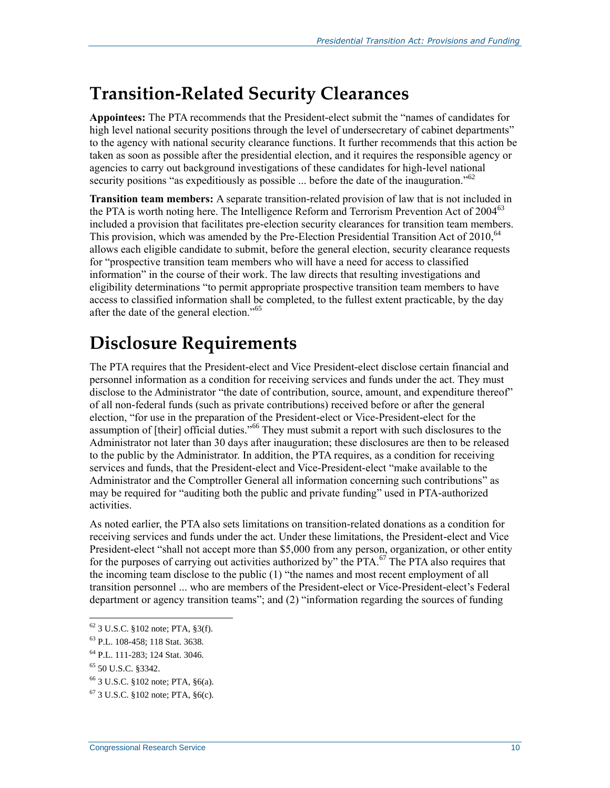### **Transition-Related Security Clearances**

**Appointees:** The PTA recommends that the President-elect submit the "names of candidates for high level national security positions through the level of undersecretary of cabinet departments" to the agency with national security clearance functions. It further recommends that this action be taken as soon as possible after the presidential election, and it requires the responsible agency or agencies to carry out background investigations of these candidates for high-level national security positions "as expeditiously as possible ... before the date of the inauguration."<sup>62</sup>

**Transition team members:** A separate transition-related provision of law that is not included in the PTA is worth noting here. The Intelligence Reform and Terrorism Prevention Act of 2004<sup>63</sup> included a provision that facilitates pre-election security clearances for transition team members. This provision, which was amended by the Pre-Election Presidential Transition Act of 2010,  $64$ allows each eligible candidate to submit, before the general election, security clearance requests for "prospective transition team members who will have a need for access to classified information" in the course of their work. The law directs that resulting investigations and eligibility determinations "to permit appropriate prospective transition team members to have access to classified information shall be completed, to the fullest extent practicable, by the day after the date of the general election."<sup>65</sup>

## **Disclosure Requirements**

The PTA requires that the President-elect and Vice President-elect disclose certain financial and personnel information as a condition for receiving services and funds under the act. They must disclose to the Administrator "the date of contribution, source, amount, and expenditure thereof" of all non-federal funds (such as private contributions) received before or after the general election, "for use in the preparation of the President-elect or Vice-President-elect for the assumption of [their] official duties."<sup>66</sup> They must submit a report with such disclosures to the Administrator not later than 30 days after inauguration; these disclosures are then to be released to the public by the Administrator. In addition, the PTA requires, as a condition for receiving services and funds, that the President-elect and Vice-President-elect "make available to the Administrator and the Comptroller General all information concerning such contributions" as may be required for "auditing both the public and private funding" used in PTA-authorized activities.

As noted earlier, the PTA also sets limitations on transition-related donations as a condition for receiving services and funds under the act. Under these limitations, the President-elect and Vice President-elect "shall not accept more than \$5,000 from any person, organization, or other entity for the purposes of carrying out activities authorized by" the PTA.<sup>67</sup> The PTA also requires that the incoming team disclose to the public (1) "the names and most recent employment of all transition personnel ... who are members of the President-elect or Vice-President-elect's Federal department or agency transition teams"; and (2) "information regarding the sources of funding

 $62$  3 U.S.C. §102 note; PTA, §3(f).

<sup>63</sup> P.L. 108-458; 118 Stat. 3638.

<sup>64</sup> P.L. 111-283; 124 Stat. 3046.

<sup>65</sup> 50 U.S.C. §3342.

<sup>66</sup> 3 U.S.C. §102 note; PTA, §6(a).

 $67$  3 U.S.C. §102 note; PTA, §6(c).